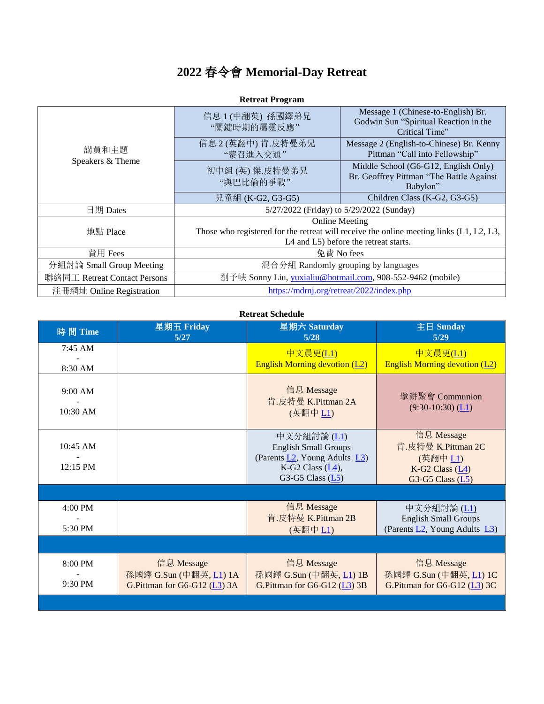## **2022** 春令會 **Memorial-Day Retreat**

| 講員和主題<br>Speakers & Theme    | 信息 1 (中翻英) 孫國鐸弟兄<br>"關鍵時期的屬靈反應"                                                                                                                               | Message 1 (Chinese-to-English) Br.<br>Godwin Sun "Spiritual Reaction in the<br>Critical Time" |  |  |
|------------------------------|---------------------------------------------------------------------------------------------------------------------------------------------------------------|-----------------------------------------------------------------------------------------------|--|--|
|                              | 信息 2 (英翻中) 肯.皮特曼弟兄<br>"蒙召進入交通"                                                                                                                                | Message 2 (English-to-Chinese) Br. Kenny<br>Pittman "Call into Fellowship"                    |  |  |
|                              | 初中組(英)傑.皮特曼弟兄<br>"與巴比倫的爭戰"                                                                                                                                    | Middle School (G6-G12, English Only)<br>Br. Geoffrey Pittman "The Battle Against<br>Babylon"  |  |  |
|                              | 兒童組 (K-G2, G3-G5)                                                                                                                                             | Children Class (K-G2, G3-G5)                                                                  |  |  |
| 日期 Dates                     | 5/27/2022 (Friday) to 5/29/2022 (Sunday)                                                                                                                      |                                                                                               |  |  |
| 地點 Place                     | <b>Online Meeting</b><br>Those who registered for the retreat will receive the online meeting links $(L1, L2, L3)$ ,<br>L4 and L5) before the retreat starts. |                                                                                               |  |  |
| 費用 Fees                      | 免費 No fees                                                                                                                                                    |                                                                                               |  |  |
| 分組討論 Small Group Meeting     | 混合分組 Randomly grouping by languages                                                                                                                           |                                                                                               |  |  |
| 聯絡同工 Retreat Contact Persons | 劉予峽 Sonny Liu, yuxialiu@hotmail.com, 908-552-9462 (mobile)                                                                                                    |                                                                                               |  |  |
| 注冊網址 Online Registration     | https://mdrnj.org/retreat/2022/index.php                                                                                                                      |                                                                                               |  |  |

## **Retreat Program**

## **Retreat Schedule**

| 時間 Time              | 星期五 Friday<br>5/27                                                   | 星期六 Saturday<br>5/28                                                                                                     | 主日 Sunday<br>5/29                                                                                   |
|----------------------|----------------------------------------------------------------------|--------------------------------------------------------------------------------------------------------------------------|-----------------------------------------------------------------------------------------------------|
| 7:45 AM<br>8:30 AM   |                                                                      | 中文晨更(L1)<br><b>English Morning devotion (L2)</b>                                                                         | 中文晨更(L1)<br><b>English Morning devotion (L2)</b>                                                    |
| 9:00 AM<br>10:30 AM  |                                                                      | 信息 Message<br>肯.皮特曼 K.Pittman 2A<br>(英翻中 L1)                                                                             | 擘餅聚會 Communion<br>$(9:30-10:30)$ (L1)                                                               |
| 10:45 AM<br>12:15 PM |                                                                      | 中文分組討論 (L1)<br><b>English Small Groups</b><br>(Parents L2, Young Adults L3)<br>K-G2 Class $(L4)$ ,<br>G3-G5 Class $(L5)$ | 信息 Message<br>肯.皮特曼 K.Pittman 2C<br>(英翻中 L1)<br>K-G2 Class $(\underline{L4})$<br>G3-G5 Class $(L5)$ |
|                      |                                                                      |                                                                                                                          |                                                                                                     |
| 4:00 PM<br>5:30 PM   |                                                                      | 信息 Message<br>肯.皮特曼 K.Pittman 2B<br>(英翻中 L1)                                                                             | 中文分組討論 (L1)<br><b>English Small Groups</b><br>(Parents L2, Young Adults L3)                         |
|                      |                                                                      |                                                                                                                          |                                                                                                     |
| 8:00 PM<br>9:30 PM   | 信息 Message<br>孫國鐸 G.Sun (中翻英, L1) 1A<br>G.Pittman for G6-G12 (L3) 3A | 信息 Message<br>孫國鐸 G.Sun (中翻英, L1) 1B<br>G.Pittman for G6-G12 (L3) 3B                                                     | 信息 Message<br>孫國鐸 G.Sun (中翻英, L1) 1C<br>G.Pittman for G6-G12 (L3) 3C                                |
|                      |                                                                      |                                                                                                                          |                                                                                                     |